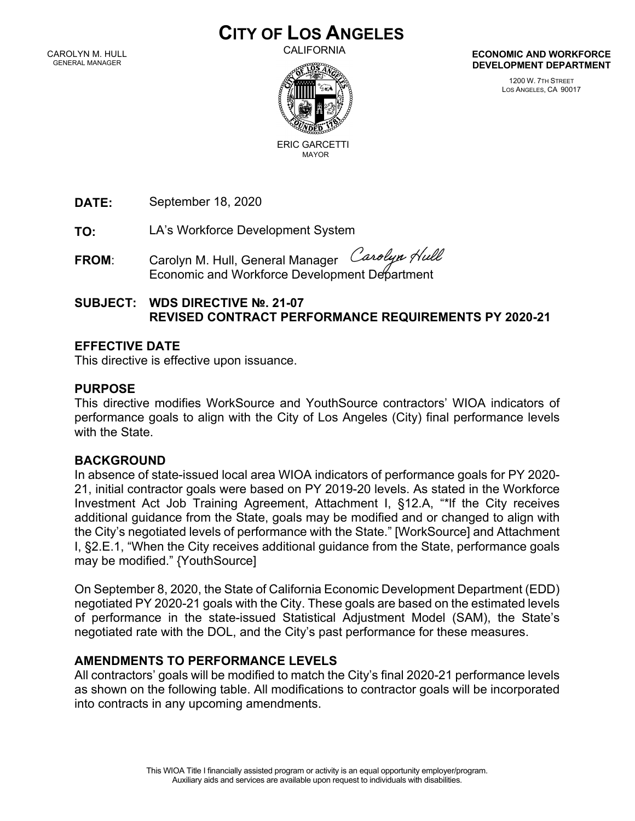# **CITY OF LOS ANGELES**

CAROLYN M. HULL GENERAL MANAGER

CALIFORNIA



ERIC GARCETTIMAYOR

**ECONOMIC AND WORKFORCE DEVELOPMENT DEPARTMENT**

> 1200 W. 7TH STREET LOS ANGELES, CA 90017

**DATE:**  September 18, 2020

**TO:** LA's Workforce Development System

Carolyn Hull **FROM**: Carolyn M. Hull, General Manager Economic and Workforce Development Department

## **SUBJECT: WDS DIRECTIVE №. 21-07 REVISED CONTRACT PERFORMANCE REQUIREMENTS PY 2020-21**

### **EFFECTIVE DATE**

This directive is effective upon issuance.

#### **PURPOSE**

This directive modifies WorkSource and YouthSource contractors' WIOA indicators of performance goals to align with the City of Los Angeles (City) final performance levels with the State.

### **BACKGROUND**

In absence of state-issued local area WIOA indicators of performance goals for PY 2020- 21, initial contractor goals were based on PY 2019-20 levels. As stated in the Workforce Investment Act Job Training Agreement, Attachment I, §12.A, "\*lf the City receives additional guidance from the State, goals may be modified and or changed to align with the City's negotiated levels of performance with the State." [WorkSource] and Attachment I, §2.E.1, "When the City receives additional guidance from the State, performance goals may be modified." {YouthSource]

On September 8, 2020, the State of California Economic Development Department (EDD) negotiated PY 2020-21 goals with the City. These goals are based on the estimated levels of performance in the state-issued Statistical Adjustment Model (SAM), the State's negotiated rate with the DOL, and the City's past performance for these measures.

### **AMENDMENTS TO PERFORMANCE LEVELS**

All contractors' goals will be modified to match the City's final 2020-21 performance levels as shown on the following table. All modifications to contractor goals will be incorporated into contracts in any upcoming amendments.